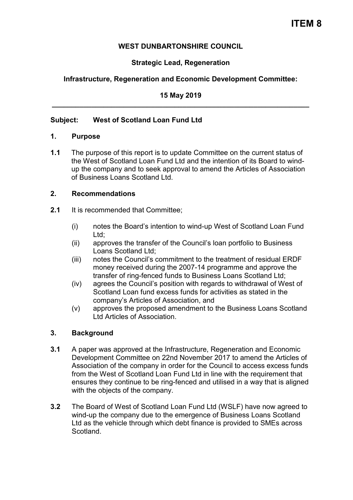## **WEST DUNBARTONSHIRE COUNCIL**

# **Strategic Lead, Regeneration**

# **Infrastructure, Regeneration and Economic Development Committee:**

#### **15 May 2019 \_\_\_\_\_\_\_\_\_\_\_\_\_\_\_\_\_\_\_\_\_\_\_\_\_\_\_\_\_\_\_\_\_\_\_\_\_\_\_\_\_\_\_\_\_\_\_\_\_\_\_\_\_\_\_\_\_\_\_\_\_\_\_\_\_**

### **Subject: West of Scotland Loan Fund Ltd**

#### **1. Purpose**

**1.1** The purpose of this report is to update Committee on the current status of the West of Scotland Loan Fund Ltd and the intention of its Board to windup the company and to seek approval to amend the Articles of Association of Business Loans Scotland Ltd.

#### **2. Recommendations**

- **2.1** It is recommended that Committee;
	- (i) notes the Board's intention to wind-up West of Scotland Loan Fund Ltd;
	- (ii) approves the transfer of the Council's loan portfolio to Business Loans Scotland Ltd;
	- (iii) notes the Council's commitment to the treatment of residual ERDF money received during the 2007-14 programme and approve the transfer of ring-fenced funds to Business Loans Scotland Ltd;
	- (iv) agrees the Council's position with regards to withdrawal of West of Scotland Loan fund excess funds for activities as stated in the company's Articles of Association, and
	- (v) approves the proposed amendment to the Business Loans Scotland Ltd Articles of Association.

## **3. Background**

- **3.1** A paper was approved at the Infrastructure, Regeneration and Economic Development Committee on 22nd November 2017 to amend the Articles of Association of the company in order for the Council to access excess funds from the West of Scotland Loan Fund Ltd in line with the requirement that ensures they continue to be ring-fenced and utilised in a way that is aligned with the objects of the company.
- **3.2** The Board of West of Scotland Loan Fund Ltd (WSLF) have now agreed to wind-up the company due to the emergence of Business Loans Scotland Ltd as the vehicle through which debt finance is provided to SMEs across Scotland.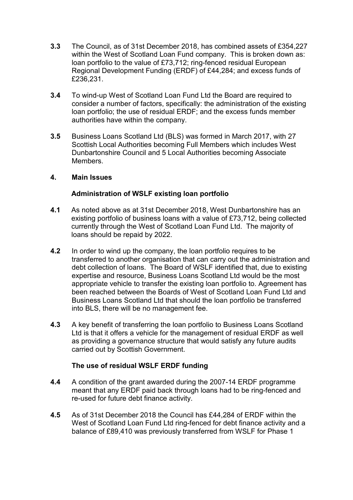- **3.3** The Council, as of 31st December 2018, has combined assets of £354,227 within the West of Scotland Loan Fund company. This is broken down as: loan portfolio to the value of £73,712; ring-fenced residual European Regional Development Funding (ERDF) of £44,284; and excess funds of £236,231.
- **3.4** To wind-up West of Scotland Loan Fund Ltd the Board are required to consider a number of factors, specifically: the administration of the existing loan portfolio; the use of residual ERDF; and the excess funds member authorities have within the company.
- **3.5** Business Loans Scotland Ltd (BLS) was formed in March 2017, with 27 Scottish Local Authorities becoming Full Members which includes West Dunbartonshire Council and 5 Local Authorities becoming Associate **Members**

#### **4. Main Issues**

## **Administration of WSLF existing loan portfolio**

- **4.1** As noted above as at 31st December 2018, West Dunbartonshire has an existing portfolio of business loans with a value of £73,712, being collected currently through the West of Scotland Loan Fund Ltd. The majority of loans should be repaid by 2022.
- **4.2** In order to wind up the company, the loan portfolio requires to be transferred to another organisation that can carry out the administration and debt collection of loans. The Board of WSLF identified that, due to existing expertise and resource, Business Loans Scotland Ltd would be the most appropriate vehicle to transfer the existing loan portfolio to. Agreement has been reached between the Boards of West of Scotland Loan Fund Ltd and Business Loans Scotland Ltd that should the loan portfolio be transferred into BLS, there will be no management fee.
- **4.3** A key benefit of transferring the loan portfolio to Business Loans Scotland Ltd is that it offers a vehicle for the management of residual ERDF as well as providing a governance structure that would satisfy any future audits carried out by Scottish Government.

#### **The use of residual WSLF ERDF funding**

- **4.4** A condition of the grant awarded during the 2007-14 ERDF programme meant that any ERDF paid back through loans had to be ring-fenced and re-used for future debt finance activity.
- **4.5** As of 31st December 2018 the Council has £44,284 of ERDF within the West of Scotland Loan Fund Ltd ring-fenced for debt finance activity and a balance of £89,410 was previously transferred from WSLF for Phase 1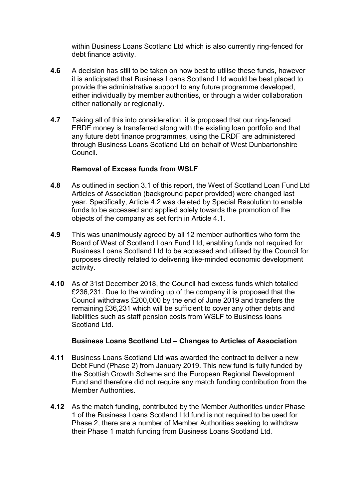within Business Loans Scotland Ltd which is also currently ring-fenced for debt finance activity.

- **4.6** A decision has still to be taken on how best to utilise these funds, however it is anticipated that Business Loans Scotland Ltd would be best placed to provide the administrative support to any future programme developed, either individually by member authorities, or through a wider collaboration either nationally or regionally.
- **4.7** Taking all of this into consideration, it is proposed that our ring-fenced ERDF money is transferred along with the existing loan portfolio and that any future debt finance programmes, using the ERDF are administered through Business Loans Scotland Ltd on behalf of West Dunbartonshire Council.

### **Removal of Excess funds from WSLF**

- **4.8** As outlined in section 3.1 of this report, the West of Scotland Loan Fund Ltd Articles of Association (background paper provided) were changed last year. Specifically, Article 4.2 was deleted by Special Resolution to enable funds to be accessed and applied solely towards the promotion of the objects of the company as set forth in Article 4.1.
- **4.9** This was unanimously agreed by all 12 member authorities who form the Board of West of Scotland Loan Fund Ltd, enabling funds not required for Business Loans Scotland Ltd to be accessed and utilised by the Council for purposes directly related to delivering like-minded economic development activity.
- **4.10** As of 31st December 2018, the Council had excess funds which totalled £236,231. Due to the winding up of the company it is proposed that the Council withdraws £200,000 by the end of June 2019 and transfers the remaining £36,231 which will be sufficient to cover any other debts and liabilities such as staff pension costs from WSLF to Business loans Scotland Ltd.

#### **Business Loans Scotland Ltd – Changes to Articles of Association**

- **4.11** Business Loans Scotland Ltd was awarded the contract to deliver a new Debt Fund (Phase 2) from January 2019. This new fund is fully funded by the Scottish Growth Scheme and the European Regional Development Fund and therefore did not require any match funding contribution from the Member Authorities.
- **4.12** As the match funding, contributed by the Member Authorities under Phase 1 of the Business Loans Scotland Ltd fund is not required to be used for Phase 2, there are a number of Member Authorities seeking to withdraw their Phase 1 match funding from Business Loans Scotland Ltd.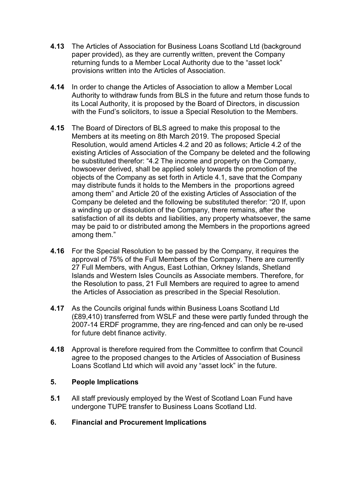- **4.13** The Articles of Association for Business Loans Scotland Ltd (background paper provided), as they are currently written, prevent the Company returning funds to a Member Local Authority due to the "asset lock" provisions written into the Articles of Association.
- **4.14** In order to change the Articles of Association to allow a Member Local Authority to withdraw funds from BLS in the future and return those funds to its Local Authority, it is proposed by the Board of Directors, in discussion with the Fund's solicitors, to issue a Special Resolution to the Members.
- **4.15** The Board of Directors of BLS agreed to make this proposal to the Members at its meeting on 8th March 2019. The proposed Special Resolution, would amend Articles 4.2 and 20 as follows; Article 4.2 of the existing Articles of Association of the Company be deleted and the following be substituted therefor: "4.2 The income and property on the Company, howsoever derived, shall be applied solely towards the promotion of the objects of the Company as set forth in Article 4.1, save that the Company may distribute funds it holds to the Members in the proportions agreed among them" and Article 20 of the existing Articles of Association of the Company be deleted and the following be substituted therefor: "20 If, upon a winding up or dissolution of the Company, there remains, after the satisfaction of all its debts and liabilities, any property whatsoever, the same may be paid to or distributed among the Members in the proportions agreed among them."
- **4.16** For the Special Resolution to be passed by the Company, it requires the approval of 75% of the Full Members of the Company. There are currently 27 Full Members, with Angus, East Lothian, Orkney Islands, Shetland Islands and Western Isles Councils as Associate members. Therefore, for the Resolution to pass, 21 Full Members are required to agree to amend the Articles of Association as prescribed in the Special Resolution.
- **4.17** As the Councils original funds within Business Loans Scotland Ltd (£89,410) transferred from WSLF and these were partly funded through the 2007-14 ERDF programme, they are ring-fenced and can only be re-used for future debt finance activity.
- **4.18** Approval is therefore required from the Committee to confirm that Council agree to the proposed changes to the Articles of Association of Business Loans Scotland Ltd which will avoid any "asset lock" in the future.

#### **5. People Implications**

**5.1** All staff previously employed by the West of Scotland Loan Fund have undergone TUPE transfer to Business Loans Scotland Ltd.

## **6. Financial and Procurement Implications**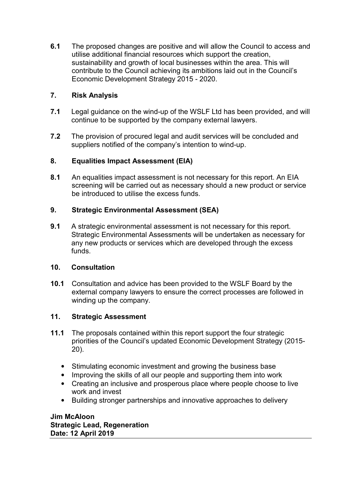**6.1** The proposed changes are positive and will allow the Council to access and utilise additional financial resources which support the creation, sustainability and growth of local businesses within the area. This will contribute to the Council achieving its ambitions laid out in the Council's Economic Development Strategy 2015 - 2020.

# **7. Risk Analysis**

- **7.1** Legal guidance on the wind-up of the WSLF Ltd has been provided, and will continue to be supported by the company external lawyers.
- **7.2** The provision of procured legal and audit services will be concluded and suppliers notified of the company's intention to wind-up.

# **8. Equalities Impact Assessment (EIA)**

**8.1** An equalities impact assessment is not necessary for this report. An EIA screening will be carried out as necessary should a new product or service be introduced to utilise the excess funds.

# **9. Strategic Environmental Assessment (SEA)**

**9.1** A strategic environmental assessment is not necessary for this report. Strategic Environmental Assessments will be undertaken as necessary for any new products or services which are developed through the excess funds.

## **10. Consultation**

**10.1** Consultation and advice has been provided to the WSLF Board by the external company lawyers to ensure the correct processes are followed in winding up the company.

## **11. Strategic Assessment**

- **11.1** The proposals contained within this report support the four strategic priorities of the Council's updated Economic Development Strategy (2015- 20).
	- Stimulating economic investment and growing the business base
	- Improving the skills of all our people and supporting them into work
	- Creating an inclusive and prosperous place where people choose to live work and invest
	- Building stronger partnerships and innovative approaches to delivery

**Jim McAloon Strategic Lead, Regeneration Date: 12 April 2019**